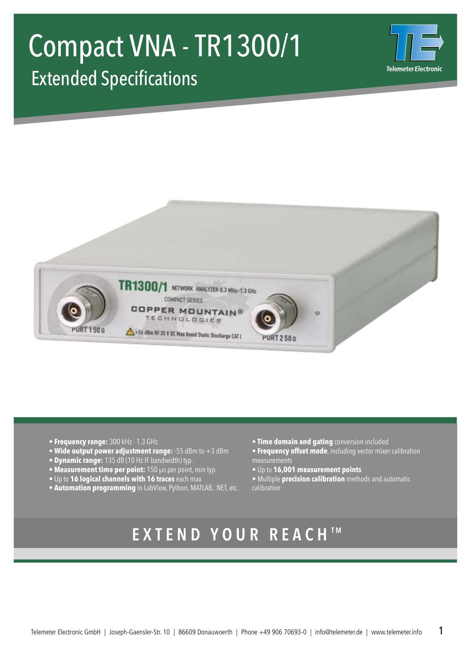# Compact VNA - TR1300/1 Extended Specifications





- **Frequency range:** 300 kHz 1.3 GHz
- **Wide output power adjustment range:** -55 dBm to +3 dBm
- **Dynamic range:** 135 dB (10 Hz IF bandwidth) typ.
- **Measurement time per point:** 150 µs per point, min typ.
- Up to **16 logical channels with 16 traces** each max
- **Automation programming** in LabView, Python, MATLAB, .NET, etc.
- **Time domain and gating** conversion included
- **Frequency offset mode**, including vector mixer calibration measurements
- Up to **16,001 measurement points**
- Multiple **precision calibration** methods and automatic calibration

### **EXTEND YOUR REACH TM**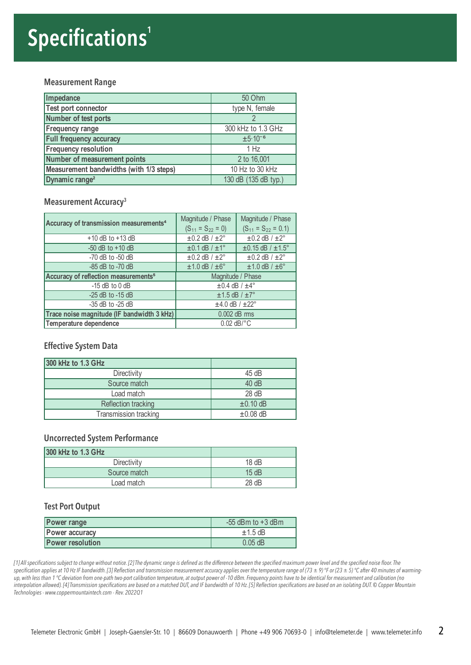## **Specifications<sup>1</sup>**

#### **Measurement Range**

| Impedance                               | 50 Ohm               |
|-----------------------------------------|----------------------|
| Test port connector                     | type N, female       |
| Number of test ports                    |                      |
| <b>Frequency range</b>                  | 300 kHz to 1.3 GHz   |
| <b>Full frequency accuracy</b>          | $\pm 5.10^{-6}$      |
| <b>Frequency resolution</b>             | 1 Hz                 |
| Number of measurement points            | 2 to 16,001          |
| Measurement bandwidths (with 1/3 steps) | 10 Hz to 30 kHz      |
| Dynamic range <sup>2</sup>              | 130 dB (135 dB typ.) |

#### **Measurement Accuracy<sup>3</sup>**

| Accuracy of transmission measurements <sup>4</sup> | Magnitude / Phase<br>$(S_{11} = S_{22} = 0)$ | Magnitude / Phase<br>$(S_{11} = S_{22} = 0.1)$ |
|----------------------------------------------------|----------------------------------------------|------------------------------------------------|
| $+10$ dB to $+13$ dB                               | $\pm 0.2$ dB / $\pm 2^{\circ}$               | $\pm 0.2$ dB / $\pm 2^{\circ}$                 |
| $-50$ dB to $+10$ dB                               | $\pm 0.1$ dB / $\pm 1^{\circ}$               | $±0.15$ dB / $±1.5^{\circ}$                    |
| $-70$ dB to $-50$ dB                               | $\pm 0.2$ dB / $\pm 2^{\circ}$               | $\pm 0.2$ dB / $\pm 2^{\circ}$                 |
| $-85$ dB to $-70$ dB                               | $\pm 1.0$ dB / $\pm 6^{\circ}$               | $±1.0$ dB / $±6^\circ$                         |
| Accuracy of reflection measurements <sup>5</sup>   | Magnitude / Phase                            |                                                |
| $-15$ dB to 0 dB                                   | $\pm 0.4$ dB / $\pm 4^{\circ}$               |                                                |
| $-25$ dB to $-15$ dB                               | $±1.5$ dB / $±7^\circ$                       |                                                |
| $-35$ dB to $-25$ dB                               | $±4.0$ dB / $±22^{\circ}$                    |                                                |
| Trace noise magnitude (IF bandwidth 3 kHz)         | $0.002$ dB rms                               |                                                |
| Temperature dependence                             | $0.02$ dB/ $\degree$ C                       |                                                |

#### **Effective System Data**

| 300 kHz to 1.3 GHz    |               |
|-----------------------|---------------|
| Directivity           | 45 dB         |
| Source match          | 40 dB         |
| Load match            | 28 dB         |
| Reflection tracking   | $\pm 0.10$ dB |
| Transmission tracking | $\pm 0.08$ dB |

#### **Uncorrected System Performance**

| 300 kHz to 1.3 GHz |       |
|--------------------|-------|
| Directivity        | 18dB  |
| Source match       | 15dB  |
| Load match         | 28 dB |

#### **Test Port Output**

| <b>Power range</b>      | $-55$ dBm to $+3$ dBm |
|-------------------------|-----------------------|
| Power accuracy          | $\pm$ 1.5 dB          |
| <b>Power resolution</b> | $0.05$ dB             |

[1] All specifications subject to change without notice. [2] The dynamic range is defined as the difference between the specified maximum power level and the specified noise floor. The specification applies at 10 Hz IF bandwidth. [3] Reflection and transmission measurement accuracy applies over the temperature range of (73 ± 9) °F or (23 ± 5) °C after 40 minutes of warming*up, with less than 1 °C deviation from one-path two-port calibration temperature, at output power of -10 dBm. Frequency points have to be identical for measurement and calibration (no interpolation allowed). [4] Transmission specifications are based on a matched DUT, and IF bandwidth of 10 Hz. [5] Reflection specifications are based on an isolating DUT. © Copper Mountain Technologies - www.coppermountaintech.com - Rev. 2022Q1*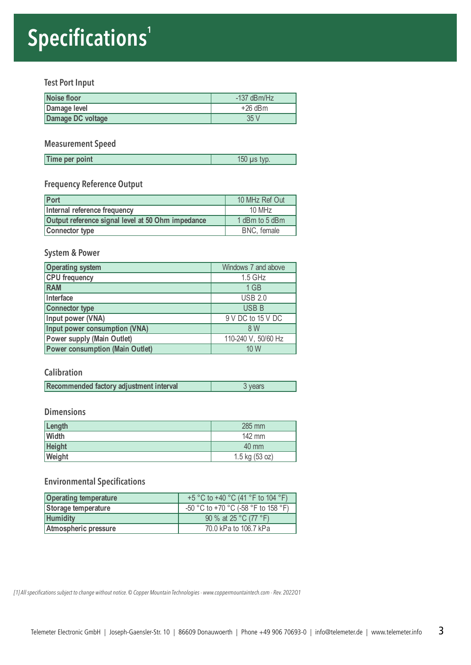## **Specifications<sup>1</sup>**

#### **Test Port Input**

| Noise floor       | $-137$ dBm/Hz |
|-------------------|---------------|
| Damage level      | $+26$ dBm     |
| Damage DC voltage | 35 V          |

#### **Measurement Speed**

| Time per point | 150 <sub>1</sub><br>tvp.<br><b>LIS</b> |
|----------------|----------------------------------------|

#### **Frequency Reference Output**

| Port                                              | 10 MHz Ref Out |
|---------------------------------------------------|----------------|
| Internal reference frequency                      | $10$ MHz       |
| Output reference signal level at 50 Ohm impedance | 1 dBm to 5 dBm |
| <b>Connector type</b>                             | BNC, female    |

#### **System & Power**

| <b>Operating system</b>                | Windows 7 and above |
|----------------------------------------|---------------------|
| <b>CPU</b> frequency                   | 1.5 GHz             |
| <b>RAM</b>                             | $1$ GB              |
| Interface                              | <b>USB 2.0</b>      |
| <b>Connector type</b>                  | <b>USB B</b>        |
| Input power (VNA)                      | 9 V DC to 15 V DC   |
| Input power consumption (VNA)          | 8 W                 |
| <b>Power supply (Main Outlet)</b>      | 110-240 V, 50/60 Hz |
| <b>Power consumption (Main Outlet)</b> | 10W                 |

#### **Calibration**

#### **Dimensions**

| Length        | 285 mm           |
|---------------|------------------|
| Width         | $142 \text{ mm}$ |
| <b>Height</b> | 40 mm            |
| Weight        | $1.5$ kg (53 oz) |

#### **Environmental Specifications**

| <b>Operating temperature</b> | +5 °C to +40 °C (41 °F to 104 °F)   |
|------------------------------|-------------------------------------|
| Storage temperature          | -50 °C to +70 °C (-58 °F to 158 °F) |
| <b>Humidity</b>              | 90 % at 25 °C (77 °F)               |
| Atmospheric pressure         | 70.0 kPa to 106.7 kPa               |

*[1] All specifications subject to change without notice. © Copper Mountain Technologies - www.coppermountaintech.com - Rev. 2022Q1*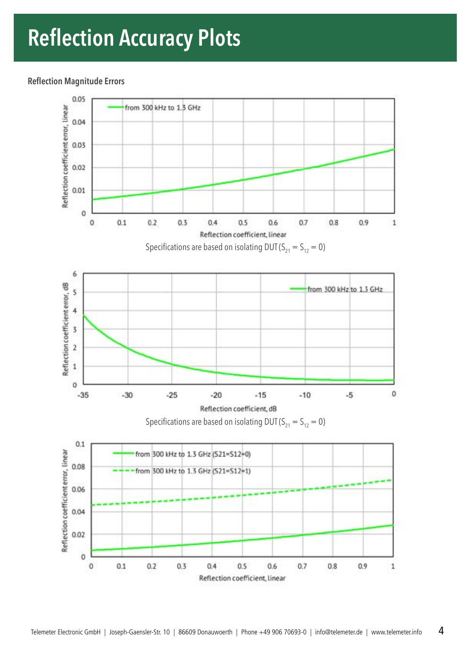### **Reflection Accuracy Plots**

#### **Reflection Magnitude Errors**

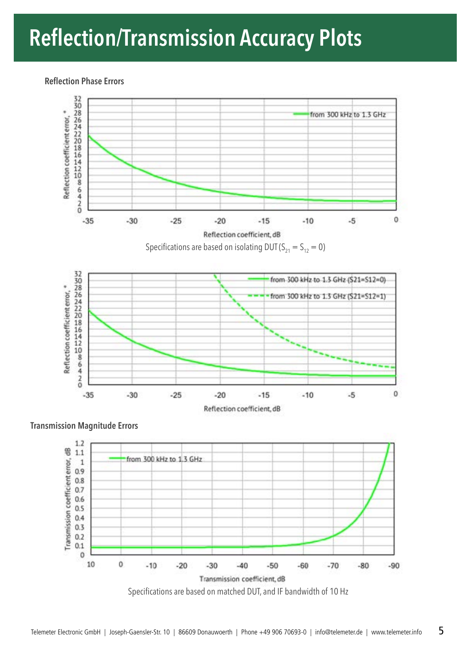## **Reflection/Transmission Accuracy Plots**

#### **Reflection Phase Errors**



Reflection coefficient, dB

**Transmission Magnitude Errors**

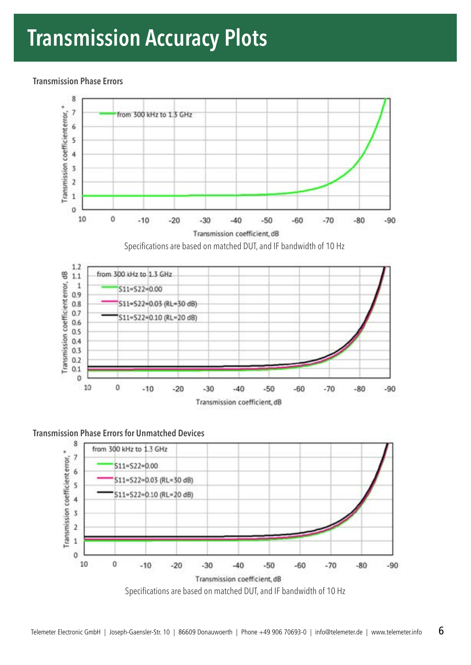### **Transmission Accuracy Plots**

**Transmission Phase Errors**



Transmission coefficient, dB



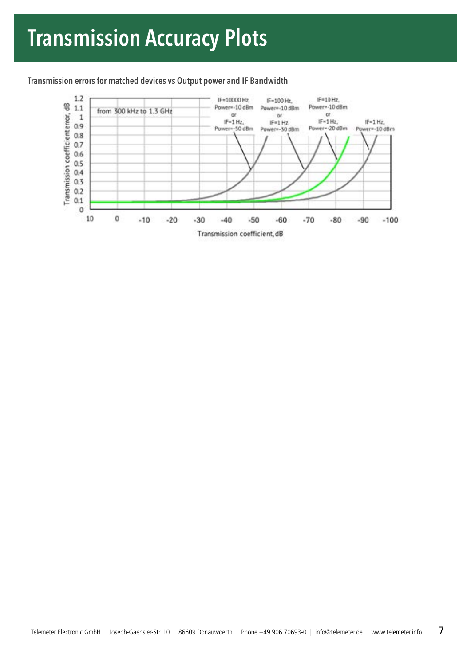#### **Transmission errors for matched devices vs Output power and IF Bandwidth**